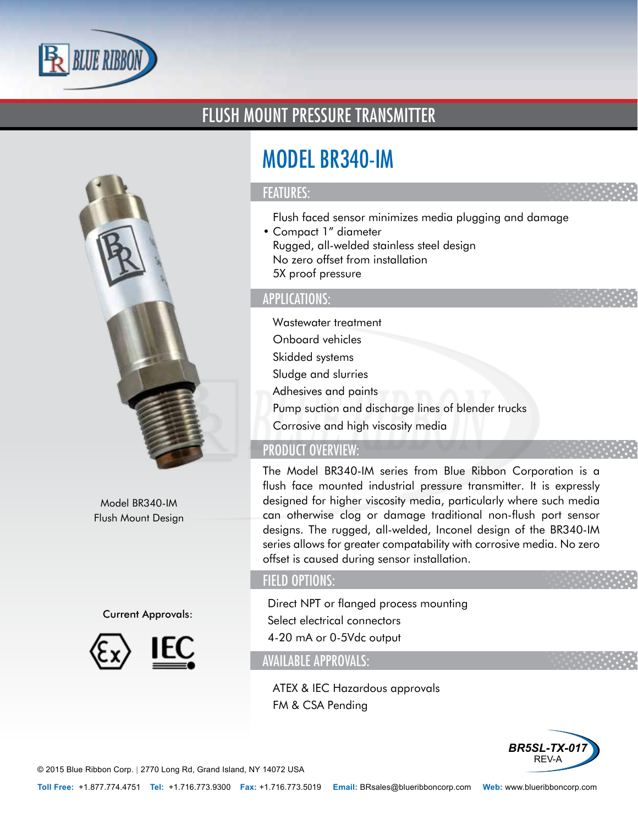

# FLUSH MOUNT PRESSURE TRANSMITTER



Model BR340-IM Flush Mount Design

#### Current Approvals:



# MODEL BR340-IM

#### FEATURES:

- Flush faced sensor minimizes media plugging and damage
- Compact 1" diameter
- Rugged, all-welded stainless steel design
- No zero offset from installation
- 5X proof pressure

#### APPLICATIONS:

- Wastewater treatment
- Onboard vehicles
- Skidded systems
- Sludge and slurries
- Adhesives and paints
- Pump suction and discharge lines of blender trucks
- Corrosive and high viscosity media

## PRODUCT OVERVIEW:

The Model BR340-IM series from Blue Ribbon Corporation is a flush face mounted industrial pressure transmitter. It is expressly designed for higher viscosity media, particularly where such media can otherwise clog or damage traditional non-flush port sensor designs. The rugged, all-welded, Inconel design of the BR340-IM series allows for greater compatability with corrosive media. No zero offset is caused during sensor installation.

## FIELD OPTIONS:

- Direct NPT or flanged process mounting
- Select electrical connectors
- 4-20 mA or 0-5Vdc output

### AVAILABLE APPROVALS:

- ATEX & IEC Hazardous approvals
- FM & CSA Pending



© 2015 Blue Ribbon Corp. *<sup>|</sup>* 2770 Long Rd, Grand Island, NY 14072 USA